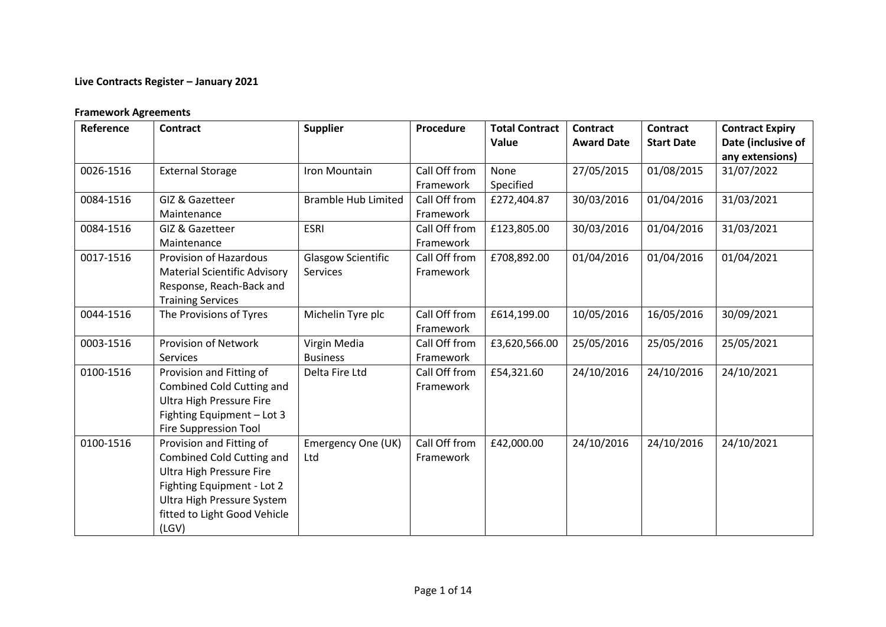# **Live Contracts Register – January 2021**

#### **Framework Agreements**

| Reference | <b>Contract</b>                                                                                                                                                                                      | <b>Supplier</b>                       | Procedure                  | <b>Total Contract</b><br>Value | <b>Contract</b><br><b>Award Date</b> | <b>Contract</b><br><b>Start Date</b> | <b>Contract Expiry</b><br>Date (inclusive of<br>any extensions) |
|-----------|------------------------------------------------------------------------------------------------------------------------------------------------------------------------------------------------------|---------------------------------------|----------------------------|--------------------------------|--------------------------------------|--------------------------------------|-----------------------------------------------------------------|
| 0026-1516 | <b>External Storage</b>                                                                                                                                                                              | Iron Mountain                         | Call Off from<br>Framework | None<br>Specified              | 27/05/2015                           | 01/08/2015                           | 31/07/2022                                                      |
| 0084-1516 | GIZ & Gazetteer<br>Maintenance                                                                                                                                                                       | <b>Bramble Hub Limited</b>            | Call Off from<br>Framework | £272,404.87                    | 30/03/2016                           | 01/04/2016                           | 31/03/2021                                                      |
| 0084-1516 | GIZ & Gazetteer<br>Maintenance                                                                                                                                                                       | <b>ESRI</b>                           | Call Off from<br>Framework | £123,805.00                    | 30/03/2016                           | 01/04/2016                           | 31/03/2021                                                      |
| 0017-1516 | Provision of Hazardous<br><b>Material Scientific Advisory</b><br>Response, Reach-Back and<br><b>Training Services</b>                                                                                | <b>Glasgow Scientific</b><br>Services | Call Off from<br>Framework | £708,892.00                    | 01/04/2016                           | 01/04/2016                           | 01/04/2021                                                      |
| 0044-1516 | The Provisions of Tyres                                                                                                                                                                              | Michelin Tyre plc                     | Call Off from<br>Framework | £614,199.00                    | 10/05/2016                           | 16/05/2016                           | 30/09/2021                                                      |
| 0003-1516 | Provision of Network<br><b>Services</b>                                                                                                                                                              | Virgin Media<br><b>Business</b>       | Call Off from<br>Framework | £3,620,566.00                  | 25/05/2016                           | 25/05/2016                           | 25/05/2021                                                      |
| 0100-1516 | Provision and Fitting of<br>Combined Cold Cutting and<br><b>Ultra High Pressure Fire</b><br>Fighting Equipment - Lot 3<br><b>Fire Suppression Tool</b>                                               | Delta Fire Ltd                        | Call Off from<br>Framework | £54,321.60                     | 24/10/2016                           | 24/10/2016                           | 24/10/2021                                                      |
| 0100-1516 | Provision and Fitting of<br><b>Combined Cold Cutting and</b><br><b>Ultra High Pressure Fire</b><br>Fighting Equipment - Lot 2<br>Ultra High Pressure System<br>fitted to Light Good Vehicle<br>(LGV) | Emergency One (UK)<br>Ltd             | Call Off from<br>Framework | £42,000.00                     | 24/10/2016                           | 24/10/2016                           | 24/10/2021                                                      |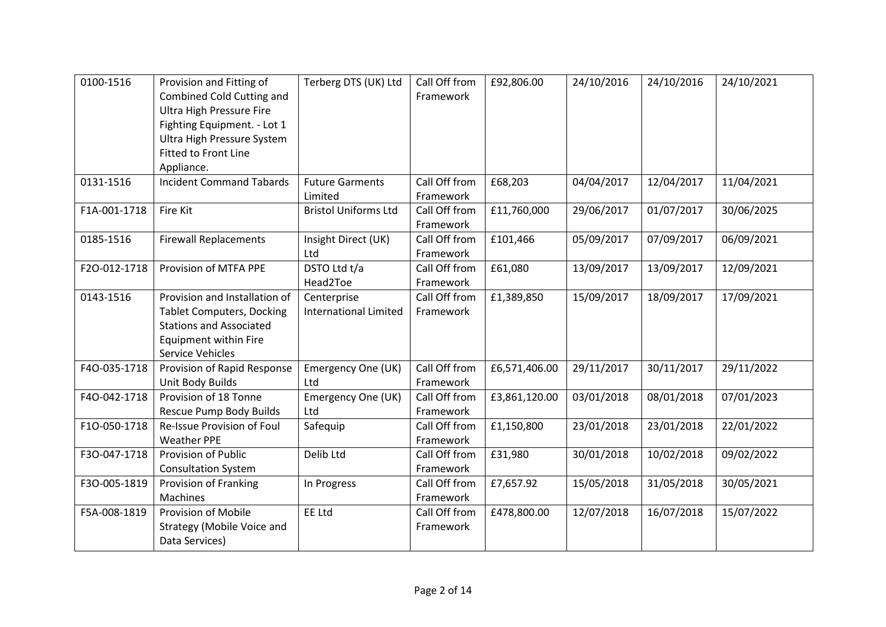| 0100-1516    | Provision and Fitting of<br>Combined Cold Cutting and<br>Ultra High Pressure Fire<br>Fighting Equipment. - Lot 1<br>Ultra High Pressure System<br><b>Fitted to Front Line</b><br>Appliance. | Terberg DTS (UK) Ltd                        | Call Off from<br>Framework | £92,806.00    | 24/10/2016 | 24/10/2016 | 24/10/2021 |
|--------------|---------------------------------------------------------------------------------------------------------------------------------------------------------------------------------------------|---------------------------------------------|----------------------------|---------------|------------|------------|------------|
| 0131-1516    | <b>Incident Command Tabards</b>                                                                                                                                                             | <b>Future Garments</b><br>Limited           | Call Off from<br>Framework | £68,203       | 04/04/2017 | 12/04/2017 | 11/04/2021 |
| F1A-001-1718 | Fire Kit                                                                                                                                                                                    | <b>Bristol Uniforms Ltd</b>                 | Call Off from<br>Framework | £11,760,000   | 29/06/2017 | 01/07/2017 | 30/06/2025 |
| 0185-1516    | <b>Firewall Replacements</b>                                                                                                                                                                | Insight Direct (UK)<br>Ltd                  | Call Off from<br>Framework | £101,466      | 05/09/2017 | 07/09/2017 | 06/09/2021 |
| F2O-012-1718 | Provision of MTFA PPE                                                                                                                                                                       | DSTO Ltd t/a<br>Head2Toe                    | Call Off from<br>Framework | £61,080       | 13/09/2017 | 13/09/2017 | 12/09/2021 |
| 0143-1516    | Provision and Installation of<br><b>Tablet Computers, Docking</b><br><b>Stations and Associated</b><br>Equipment within Fire<br>Service Vehicles                                            | Centerprise<br><b>International Limited</b> | Call Off from<br>Framework | £1,389,850    | 15/09/2017 | 18/09/2017 | 17/09/2021 |
| F4O-035-1718 | Provision of Rapid Response<br>Unit Body Builds                                                                                                                                             | Emergency One (UK)<br>Ltd                   | Call Off from<br>Framework | £6,571,406.00 | 29/11/2017 | 30/11/2017 | 29/11/2022 |
| F4O-042-1718 | Provision of 18 Tonne<br>Rescue Pump Body Builds                                                                                                                                            | Emergency One (UK)<br>Ltd                   | Call Off from<br>Framework | £3,861,120.00 | 03/01/2018 | 08/01/2018 | 07/01/2023 |
| F1O-050-1718 | Re-Issue Provision of Foul<br><b>Weather PPE</b>                                                                                                                                            | Safequip                                    | Call Off from<br>Framework | £1,150,800    | 23/01/2018 | 23/01/2018 | 22/01/2022 |
| F3O-047-1718 | Provision of Public<br><b>Consultation System</b>                                                                                                                                           | Delib Ltd                                   | Call Off from<br>Framework | £31,980       | 30/01/2018 | 10/02/2018 | 09/02/2022 |
| F3O-005-1819 | <b>Provision of Franking</b><br>Machines                                                                                                                                                    | In Progress                                 | Call Off from<br>Framework | £7,657.92     | 15/05/2018 | 31/05/2018 | 30/05/2021 |
| F5A-008-1819 | Provision of Mobile<br>Strategy (Mobile Voice and<br>Data Services)                                                                                                                         | <b>EE Ltd</b>                               | Call Off from<br>Framework | £478,800.00   | 12/07/2018 | 16/07/2018 | 15/07/2022 |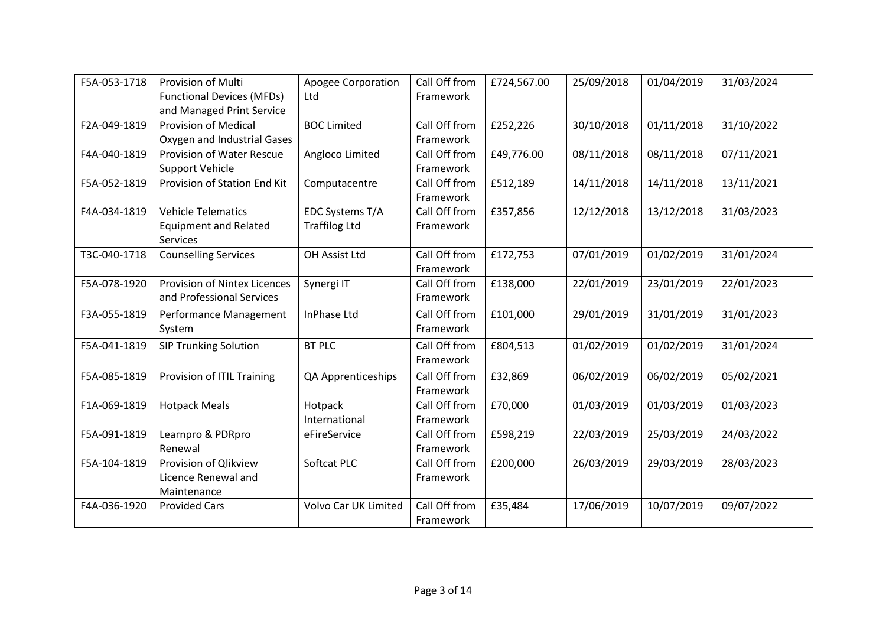| F5A-053-1718 | Provision of Multi<br><b>Functional Devices (MFDs)</b>                                  | <b>Apogee Corporation</b><br>Ltd        | Call Off from<br>Framework | £724,567.00 | 25/09/2018 | 01/04/2019 | 31/03/2024 |
|--------------|-----------------------------------------------------------------------------------------|-----------------------------------------|----------------------------|-------------|------------|------------|------------|
| F2A-049-1819 | and Managed Print Service<br><b>Provision of Medical</b><br>Oxygen and Industrial Gases | <b>BOC Limited</b>                      | Call Off from<br>Framework | £252,226    | 30/10/2018 | 01/11/2018 | 31/10/2022 |
| F4A-040-1819 | Provision of Water Rescue<br>Support Vehicle                                            | Angloco Limited                         | Call Off from<br>Framework | £49,776.00  | 08/11/2018 | 08/11/2018 | 07/11/2021 |
| F5A-052-1819 | Provision of Station End Kit                                                            | Computacentre                           | Call Off from<br>Framework | £512,189    | 14/11/2018 | 14/11/2018 | 13/11/2021 |
| F4A-034-1819 | <b>Vehicle Telematics</b><br><b>Equipment and Related</b><br><b>Services</b>            | EDC Systems T/A<br><b>Traffilog Ltd</b> | Call Off from<br>Framework | £357,856    | 12/12/2018 | 13/12/2018 | 31/03/2023 |
| T3C-040-1718 | <b>Counselling Services</b>                                                             | OH Assist Ltd                           | Call Off from<br>Framework | £172,753    | 07/01/2019 | 01/02/2019 | 31/01/2024 |
| F5A-078-1920 | <b>Provision of Nintex Licences</b><br>and Professional Services                        | Synergi IT                              | Call Off from<br>Framework | £138,000    | 22/01/2019 | 23/01/2019 | 22/01/2023 |
| F3A-055-1819 | Performance Management<br>System                                                        | InPhase Ltd                             | Call Off from<br>Framework | £101,000    | 29/01/2019 | 31/01/2019 | 31/01/2023 |
| F5A-041-1819 | <b>SIP Trunking Solution</b>                                                            | <b>BT PLC</b>                           | Call Off from<br>Framework | £804,513    | 01/02/2019 | 01/02/2019 | 31/01/2024 |
| F5A-085-1819 | Provision of ITIL Training                                                              | QA Apprenticeships                      | Call Off from<br>Framework | £32,869     | 06/02/2019 | 06/02/2019 | 05/02/2021 |
| F1A-069-1819 | <b>Hotpack Meals</b>                                                                    | Hotpack<br>International                | Call Off from<br>Framework | £70,000     | 01/03/2019 | 01/03/2019 | 01/03/2023 |
| F5A-091-1819 | Learnpro & PDRpro<br>Renewal                                                            | eFireService                            | Call Off from<br>Framework | £598,219    | 22/03/2019 | 25/03/2019 | 24/03/2022 |
| F5A-104-1819 | Provision of Qlikview<br>Licence Renewal and<br>Maintenance                             | Softcat PLC                             | Call Off from<br>Framework | £200,000    | 26/03/2019 | 29/03/2019 | 28/03/2023 |
| F4A-036-1920 | <b>Provided Cars</b>                                                                    | Volvo Car UK Limited                    | Call Off from<br>Framework | £35,484     | 17/06/2019 | 10/07/2019 | 09/07/2022 |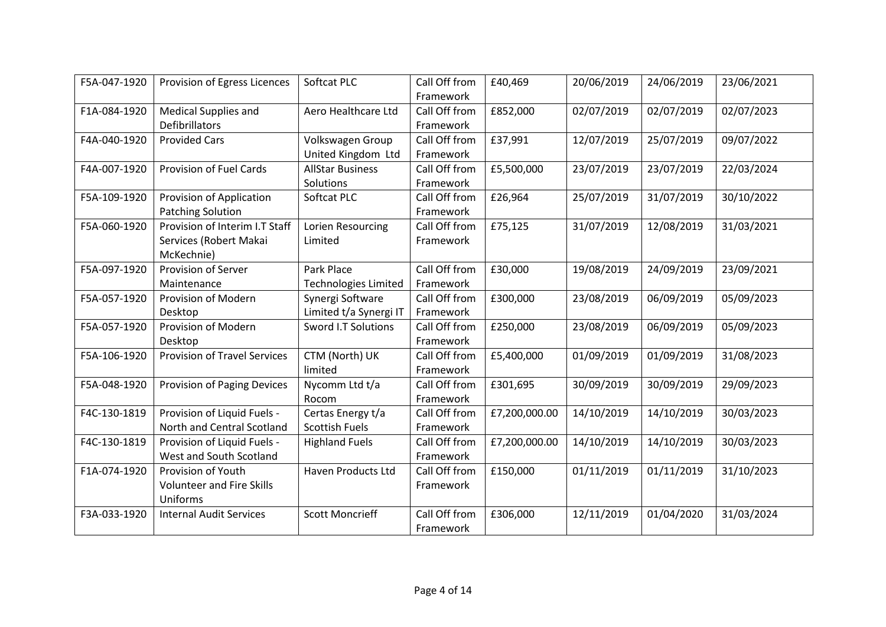| F5A-047-1920 | Provision of Egress Licences                                           | Softcat PLC                                | Call Off from<br>Framework | £40,469       | 20/06/2019 | 24/06/2019 | 23/06/2021 |
|--------------|------------------------------------------------------------------------|--------------------------------------------|----------------------------|---------------|------------|------------|------------|
| F1A-084-1920 | <b>Medical Supplies and</b><br>Defibrillators                          | Aero Healthcare Ltd                        | Call Off from<br>Framework | £852,000      | 02/07/2019 | 02/07/2019 | 02/07/2023 |
| F4A-040-1920 | <b>Provided Cars</b>                                                   | Volkswagen Group<br>United Kingdom Ltd     | Call Off from<br>Framework | £37,991       | 12/07/2019 | 25/07/2019 | 09/07/2022 |
| F4A-007-1920 | Provision of Fuel Cards                                                | <b>AllStar Business</b><br>Solutions       | Call Off from<br>Framework | £5,500,000    | 23/07/2019 | 23/07/2019 | 22/03/2024 |
| F5A-109-1920 | Provision of Application<br><b>Patching Solution</b>                   | Softcat PLC                                | Call Off from<br>Framework | £26,964       | 25/07/2019 | 31/07/2019 | 30/10/2022 |
| F5A-060-1920 | Provision of Interim I.T Staff<br>Services (Robert Makai<br>McKechnie) | Lorien Resourcing<br>Limited               | Call Off from<br>Framework | £75,125       | 31/07/2019 | 12/08/2019 | 31/03/2021 |
| F5A-097-1920 | Provision of Server<br>Maintenance                                     | Park Place<br><b>Technologies Limited</b>  | Call Off from<br>Framework | £30,000       | 19/08/2019 | 24/09/2019 | 23/09/2021 |
| F5A-057-1920 | Provision of Modern<br>Desktop                                         | Synergi Software<br>Limited t/a Synergi IT | Call Off from<br>Framework | £300,000      | 23/08/2019 | 06/09/2019 | 05/09/2023 |
| F5A-057-1920 | Provision of Modern<br>Desktop                                         | Sword I.T Solutions                        | Call Off from<br>Framework | £250,000      | 23/08/2019 | 06/09/2019 | 05/09/2023 |
| F5A-106-1920 | <b>Provision of Travel Services</b>                                    | CTM (North) UK<br>limited                  | Call Off from<br>Framework | £5,400,000    | 01/09/2019 | 01/09/2019 | 31/08/2023 |
| F5A-048-1920 | <b>Provision of Paging Devices</b>                                     | Nycomm Ltd t/a<br>Rocom                    | Call Off from<br>Framework | £301,695      | 30/09/2019 | 30/09/2019 | 29/09/2023 |
| F4C-130-1819 | Provision of Liquid Fuels -<br>North and Central Scotland              | Certas Energy t/a<br><b>Scottish Fuels</b> | Call Off from<br>Framework | £7,200,000.00 | 14/10/2019 | 14/10/2019 | 30/03/2023 |
| F4C-130-1819 | Provision of Liquid Fuels -<br>West and South Scotland                 | <b>Highland Fuels</b>                      | Call Off from<br>Framework | £7,200,000.00 | 14/10/2019 | 14/10/2019 | 30/03/2023 |
| F1A-074-1920 | Provision of Youth<br><b>Volunteer and Fire Skills</b><br>Uniforms     | <b>Haven Products Ltd</b>                  | Call Off from<br>Framework | £150,000      | 01/11/2019 | 01/11/2019 | 31/10/2023 |
| F3A-033-1920 | <b>Internal Audit Services</b>                                         | <b>Scott Moncrieff</b>                     | Call Off from<br>Framework | £306,000      | 12/11/2019 | 01/04/2020 | 31/03/2024 |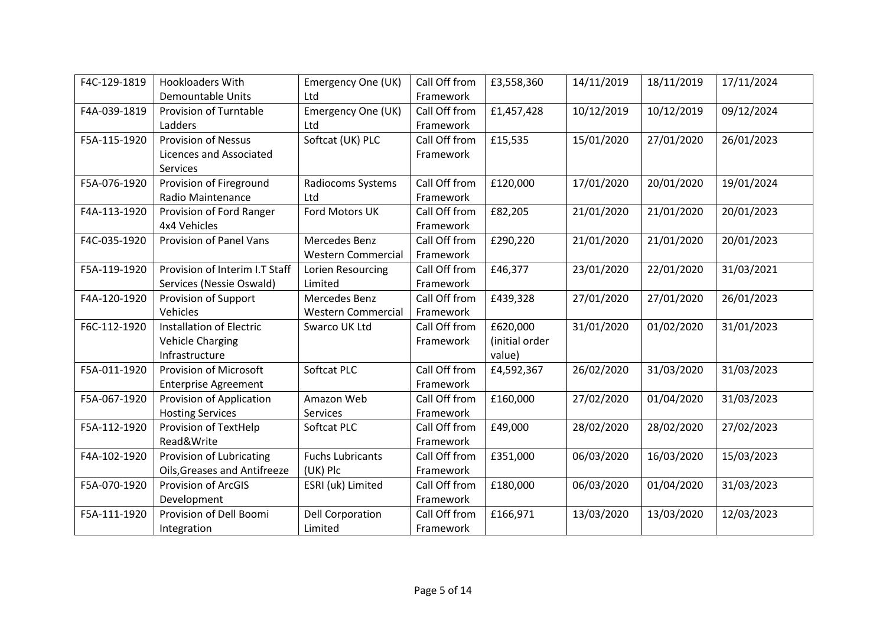| F4C-129-1819 | <b>Hookloaders With</b>         | Emergency One (UK)        | Call Off from | £3,558,360     | 14/11/2019 | 18/11/2019 | 17/11/2024 |
|--------------|---------------------------------|---------------------------|---------------|----------------|------------|------------|------------|
|              | <b>Demountable Units</b>        | Ltd                       | Framework     |                |            |            |            |
| F4A-039-1819 | Provision of Turntable          | Emergency One (UK)        | Call Off from | £1,457,428     | 10/12/2019 | 10/12/2019 | 09/12/2024 |
|              | Ladders                         | Ltd                       | Framework     |                |            |            |            |
| F5A-115-1920 | <b>Provision of Nessus</b>      | Softcat (UK) PLC          | Call Off from | £15,535        | 15/01/2020 | 27/01/2020 | 26/01/2023 |
|              | Licences and Associated         |                           | Framework     |                |            |            |            |
|              | Services                        |                           |               |                |            |            |            |
| F5A-076-1920 | Provision of Fireground         | Radiocoms Systems         | Call Off from | £120,000       | 17/01/2020 | 20/01/2020 | 19/01/2024 |
|              | <b>Radio Maintenance</b>        | Ltd                       | Framework     |                |            |            |            |
| F4A-113-1920 | Provision of Ford Ranger        | Ford Motors UK            | Call Off from | £82,205        | 21/01/2020 | 21/01/2020 | 20/01/2023 |
|              | 4x4 Vehicles                    |                           | Framework     |                |            |            |            |
| F4C-035-1920 | Provision of Panel Vans         | Mercedes Benz             | Call Off from | £290,220       | 21/01/2020 | 21/01/2020 | 20/01/2023 |
|              |                                 | <b>Western Commercial</b> | Framework     |                |            |            |            |
| F5A-119-1920 | Provision of Interim I.T Staff  | Lorien Resourcing         | Call Off from | £46,377        | 23/01/2020 | 22/01/2020 | 31/03/2021 |
|              | Services (Nessie Oswald)        | Limited                   | Framework     |                |            |            |            |
| F4A-120-1920 | Provision of Support            | Mercedes Benz             | Call Off from | £439,328       | 27/01/2020 | 27/01/2020 | 26/01/2023 |
|              | Vehicles                        | <b>Western Commercial</b> | Framework     |                |            |            |            |
| F6C-112-1920 | <b>Installation of Electric</b> | Swarco UK Ltd             | Call Off from | £620,000       | 31/01/2020 | 01/02/2020 | 31/01/2023 |
|              | <b>Vehicle Charging</b>         |                           | Framework     | (initial order |            |            |            |
|              | Infrastructure                  |                           |               | value)         |            |            |            |
| F5A-011-1920 | Provision of Microsoft          | Softcat PLC               | Call Off from | £4,592,367     | 26/02/2020 | 31/03/2020 | 31/03/2023 |
|              | <b>Enterprise Agreement</b>     |                           | Framework     |                |            |            |            |
| F5A-067-1920 | Provision of Application        | Amazon Web                | Call Off from | £160,000       | 27/02/2020 | 01/04/2020 | 31/03/2023 |
|              | <b>Hosting Services</b>         | <b>Services</b>           | Framework     |                |            |            |            |
| F5A-112-1920 | Provision of TextHelp           | Softcat PLC               | Call Off from | £49,000        | 28/02/2020 | 28/02/2020 | 27/02/2023 |
|              | Read&Write                      |                           | Framework     |                |            |            |            |
| F4A-102-1920 | Provision of Lubricating        | <b>Fuchs Lubricants</b>   | Call Off from | £351,000       | 06/03/2020 | 16/03/2020 | 15/03/2023 |
|              | Oils, Greases and Antifreeze    | (UK) Plc                  | Framework     |                |            |            |            |
| F5A-070-1920 | <b>Provision of ArcGIS</b>      | ESRI (uk) Limited         | Call Off from | £180,000       | 06/03/2020 | 01/04/2020 | 31/03/2023 |
|              | Development                     |                           | Framework     |                |            |            |            |
| F5A-111-1920 | Provision of Dell Boomi         | <b>Dell Corporation</b>   | Call Off from | £166,971       | 13/03/2020 | 13/03/2020 | 12/03/2023 |
|              | Integration                     | Limited                   | Framework     |                |            |            |            |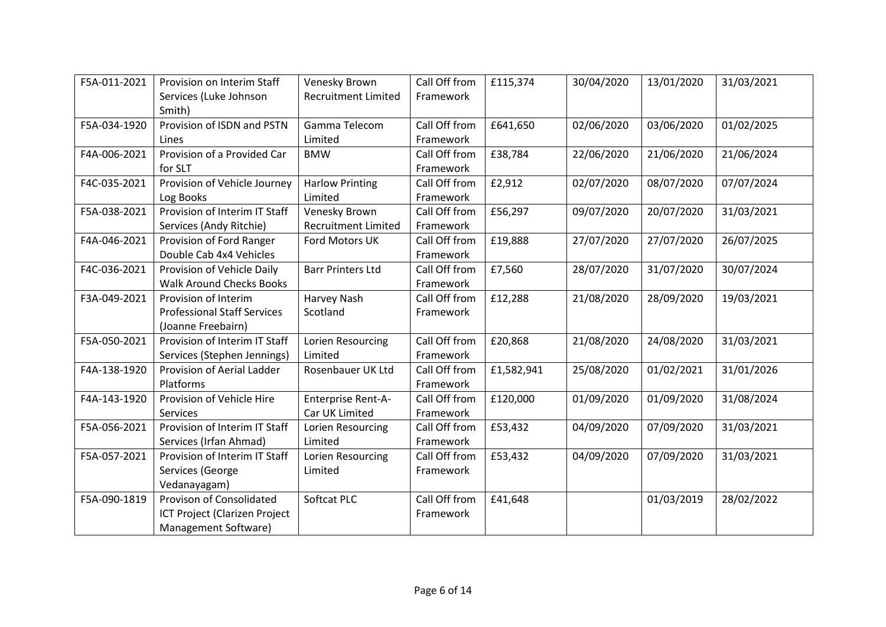| F5A-011-2021 | Provision on Interim Staff         | Venesky Brown              | Call Off from | £115,374   | 30/04/2020 | 13/01/2020 | 31/03/2021 |
|--------------|------------------------------------|----------------------------|---------------|------------|------------|------------|------------|
|              | Services (Luke Johnson             | <b>Recruitment Limited</b> | Framework     |            |            |            |            |
|              | Smith)                             |                            |               |            |            |            |            |
| F5A-034-1920 | Provision of ISDN and PSTN         | Gamma Telecom              | Call Off from | £641,650   | 02/06/2020 | 03/06/2020 | 01/02/2025 |
|              | Lines                              | Limited                    | Framework     |            |            |            |            |
| F4A-006-2021 | Provision of a Provided Car        | <b>BMW</b>                 | Call Off from | £38,784    | 22/06/2020 | 21/06/2020 | 21/06/2024 |
|              | for SLT                            |                            | Framework     |            |            |            |            |
| F4C-035-2021 | Provision of Vehicle Journey       | <b>Harlow Printing</b>     | Call Off from | £2,912     | 02/07/2020 | 08/07/2020 | 07/07/2024 |
|              | Log Books                          | Limited                    | Framework     |            |            |            |            |
| F5A-038-2021 | Provision of Interim IT Staff      | Venesky Brown              | Call Off from | £56,297    | 09/07/2020 | 20/07/2020 | 31/03/2021 |
|              | Services (Andy Ritchie)            | <b>Recruitment Limited</b> | Framework     |            |            |            |            |
| F4A-046-2021 | Provision of Ford Ranger           | Ford Motors UK             | Call Off from | £19,888    | 27/07/2020 | 27/07/2020 | 26/07/2025 |
|              | Double Cab 4x4 Vehicles            |                            | Framework     |            |            |            |            |
| F4C-036-2021 | Provision of Vehicle Daily         | <b>Barr Printers Ltd</b>   | Call Off from | £7,560     | 28/07/2020 | 31/07/2020 | 30/07/2024 |
|              | <b>Walk Around Checks Books</b>    |                            | Framework     |            |            |            |            |
| F3A-049-2021 | Provision of Interim               | Harvey Nash                | Call Off from | £12,288    | 21/08/2020 | 28/09/2020 | 19/03/2021 |
|              | <b>Professional Staff Services</b> | Scotland                   | Framework     |            |            |            |            |
|              | (Joanne Freebairn)                 |                            |               |            |            |            |            |
| F5A-050-2021 | Provision of Interim IT Staff      | Lorien Resourcing          | Call Off from | £20,868    | 21/08/2020 | 24/08/2020 | 31/03/2021 |
|              | Services (Stephen Jennings)        | Limited                    | Framework     |            |            |            |            |
| F4A-138-1920 | Provision of Aerial Ladder         | Rosenbauer UK Ltd          | Call Off from | £1,582,941 | 25/08/2020 | 01/02/2021 | 31/01/2026 |
|              | Platforms                          |                            | Framework     |            |            |            |            |
| F4A-143-1920 | Provision of Vehicle Hire          | Enterprise Rent-A-         | Call Off from | £120,000   | 01/09/2020 | 01/09/2020 | 31/08/2024 |
|              | Services                           | Car UK Limited             | Framework     |            |            |            |            |
| F5A-056-2021 | Provision of Interim IT Staff      | Lorien Resourcing          | Call Off from | £53,432    | 04/09/2020 | 07/09/2020 | 31/03/2021 |
|              | Services (Irfan Ahmad)             | Limited                    | Framework     |            |            |            |            |
| F5A-057-2021 | Provision of Interim IT Staff      | Lorien Resourcing          | Call Off from | £53,432    | 04/09/2020 | 07/09/2020 | 31/03/2021 |
|              | Services (George                   | Limited                    | Framework     |            |            |            |            |
|              | Vedanayagam)                       |                            |               |            |            |            |            |
| F5A-090-1819 | Provison of Consolidated           | Softcat PLC                | Call Off from | £41,648    |            | 01/03/2019 | 28/02/2022 |
|              | ICT Project (Clarizen Project      |                            | Framework     |            |            |            |            |
|              | Management Software)               |                            |               |            |            |            |            |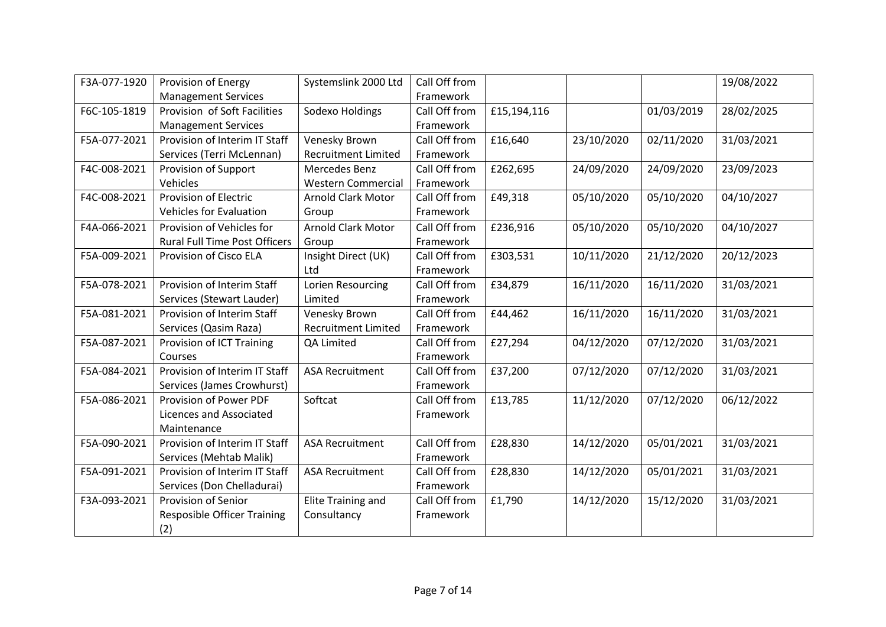| F3A-077-1920 | Provision of Energy                  | Systemslink 2000 Ltd       | Call Off from |             |            |            | 19/08/2022 |
|--------------|--------------------------------------|----------------------------|---------------|-------------|------------|------------|------------|
|              | <b>Management Services</b>           |                            | Framework     |             |            |            |            |
| F6C-105-1819 | Provision of Soft Facilities         | Sodexo Holdings            | Call Off from | £15,194,116 |            | 01/03/2019 | 28/02/2025 |
|              | <b>Management Services</b>           |                            | Framework     |             |            |            |            |
| F5A-077-2021 | Provision of Interim IT Staff        | Venesky Brown              | Call Off from | £16,640     | 23/10/2020 | 02/11/2020 | 31/03/2021 |
|              | Services (Terri McLennan)            | <b>Recruitment Limited</b> | Framework     |             |            |            |            |
| F4C-008-2021 | Provision of Support                 | Mercedes Benz              | Call Off from | £262,695    | 24/09/2020 | 24/09/2020 | 23/09/2023 |
|              | Vehicles                             | <b>Western Commercial</b>  | Framework     |             |            |            |            |
| F4C-008-2021 | Provision of Electric                | <b>Arnold Clark Motor</b>  | Call Off from | £49,318     | 05/10/2020 | 05/10/2020 | 04/10/2027 |
|              | <b>Vehicles for Evaluation</b>       | Group                      | Framework     |             |            |            |            |
| F4A-066-2021 | Provision of Vehicles for            | <b>Arnold Clark Motor</b>  | Call Off from | £236,916    | 05/10/2020 | 05/10/2020 | 04/10/2027 |
|              | <b>Rural Full Time Post Officers</b> | Group                      | Framework     |             |            |            |            |
| F5A-009-2021 | Provision of Cisco ELA               | Insight Direct (UK)        | Call Off from | £303,531    | 10/11/2020 | 21/12/2020 | 20/12/2023 |
|              |                                      | Ltd                        | Framework     |             |            |            |            |
| F5A-078-2021 | Provision of Interim Staff           | Lorien Resourcing          | Call Off from | £34,879     | 16/11/2020 | 16/11/2020 | 31/03/2021 |
|              | Services (Stewart Lauder)            | Limited                    | Framework     |             |            |            |            |
| F5A-081-2021 | Provision of Interim Staff           | Venesky Brown              | Call Off from | £44,462     | 16/11/2020 | 16/11/2020 | 31/03/2021 |
|              | Services (Qasim Raza)                | <b>Recruitment Limited</b> | Framework     |             |            |            |            |
| F5A-087-2021 | Provision of ICT Training            | QA Limited                 | Call Off from | £27,294     | 04/12/2020 | 07/12/2020 | 31/03/2021 |
|              | Courses                              |                            | Framework     |             |            |            |            |
| F5A-084-2021 | Provision of Interim IT Staff        | <b>ASA Recruitment</b>     | Call Off from | £37,200     | 07/12/2020 | 07/12/2020 | 31/03/2021 |
|              | Services (James Crowhurst)           |                            | Framework     |             |            |            |            |
| F5A-086-2021 | Provision of Power PDF               | Softcat                    | Call Off from | £13,785     | 11/12/2020 | 07/12/2020 | 06/12/2022 |
|              | Licences and Associated              |                            | Framework     |             |            |            |            |
|              | Maintenance                          |                            |               |             |            |            |            |
| F5A-090-2021 | Provision of Interim IT Staff        | <b>ASA Recruitment</b>     | Call Off from | £28,830     | 14/12/2020 | 05/01/2021 | 31/03/2021 |
|              | Services (Mehtab Malik)              |                            | Framework     |             |            |            |            |
| F5A-091-2021 | Provision of Interim IT Staff        | <b>ASA Recruitment</b>     | Call Off from | £28,830     | 14/12/2020 | 05/01/2021 | 31/03/2021 |
|              | Services (Don Chelladurai)           |                            | Framework     |             |            |            |            |
| F3A-093-2021 | Provision of Senior                  | <b>Elite Training and</b>  | Call Off from | £1,790      | 14/12/2020 | 15/12/2020 | 31/03/2021 |
|              | <b>Resposible Officer Training</b>   | Consultancy                | Framework     |             |            |            |            |
|              | (2)                                  |                            |               |             |            |            |            |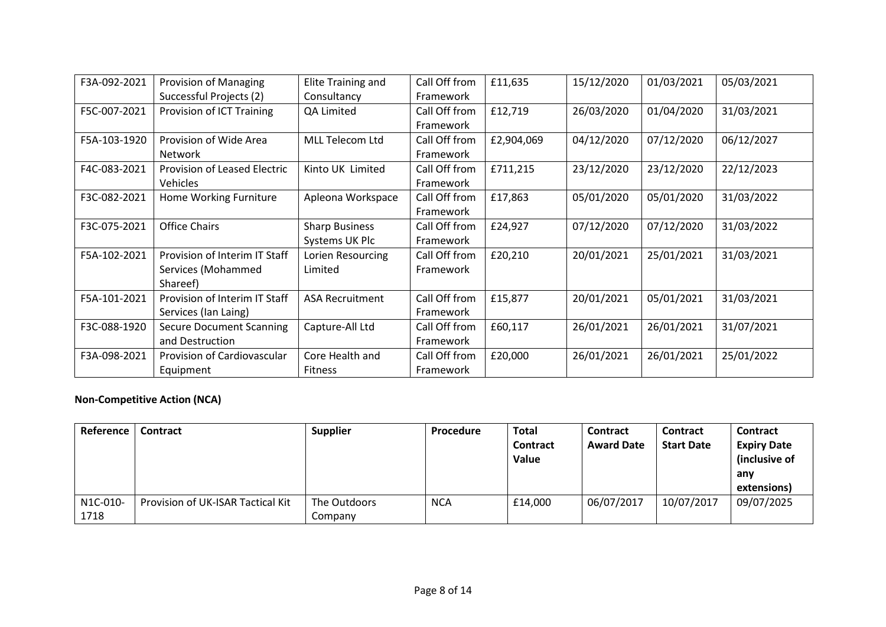| F3A-092-2021 | <b>Provision of Managing</b>    | Elite Training and     | Call Off from | £11,635    | 15/12/2020 | 01/03/2021 | 05/03/2021 |
|--------------|---------------------------------|------------------------|---------------|------------|------------|------------|------------|
|              | Successful Projects (2)         | Consultancy            | Framework     |            |            |            |            |
| F5C-007-2021 | Provision of ICT Training       | QA Limited             | Call Off from | £12,719    | 26/03/2020 | 01/04/2020 | 31/03/2021 |
|              |                                 |                        | Framework     |            |            |            |            |
| F5A-103-1920 | Provision of Wide Area          | MLL Telecom Ltd        | Call Off from | £2,904,069 | 04/12/2020 | 07/12/2020 | 06/12/2027 |
|              | <b>Network</b>                  |                        | Framework     |            |            |            |            |
| F4C-083-2021 | Provision of Leased Electric    | Kinto UK Limited       | Call Off from | £711,215   | 23/12/2020 | 23/12/2020 | 22/12/2023 |
|              | <b>Vehicles</b>                 |                        | Framework     |            |            |            |            |
| F3C-082-2021 | Home Working Furniture          | Apleona Workspace      | Call Off from | £17,863    | 05/01/2020 | 05/01/2020 | 31/03/2022 |
|              |                                 |                        | Framework     |            |            |            |            |
| F3C-075-2021 | <b>Office Chairs</b>            | <b>Sharp Business</b>  | Call Off from | £24,927    | 07/12/2020 | 07/12/2020 | 31/03/2022 |
|              |                                 | Systems UK Plc         | Framework     |            |            |            |            |
| F5A-102-2021 | Provision of Interim IT Staff   | Lorien Resourcing      | Call Off from | £20,210    | 20/01/2021 | 25/01/2021 | 31/03/2021 |
|              | Services (Mohammed              | Limited                | Framework     |            |            |            |            |
|              | Shareef)                        |                        |               |            |            |            |            |
| F5A-101-2021 | Provision of Interim IT Staff   | <b>ASA Recruitment</b> | Call Off from | £15,877    | 20/01/2021 | 05/01/2021 | 31/03/2021 |
|              | Services (Ian Laing)            |                        | Framework     |            |            |            |            |
| F3C-088-1920 | <b>Secure Document Scanning</b> | Capture-All Ltd        | Call Off from | £60,117    | 26/01/2021 | 26/01/2021 | 31/07/2021 |
|              | and Destruction                 |                        | Framework     |            |            |            |            |
| F3A-098-2021 | Provision of Cardiovascular     | Core Health and        | Call Off from | £20,000    | 26/01/2021 | 26/01/2021 | 25/01/2022 |
|              | Equipment                       | <b>Fitness</b>         | Framework     |            |            |            |            |

### **Non-Competitive Action (NCA)**

| Reference | <b>Contract</b>                   | <b>Supplier</b> | Procedure  | <b>Total</b><br><b>Contract</b><br>Value | Contract<br><b>Award Date</b> | <b>Contract</b><br><b>Start Date</b> | <b>Contract</b><br><b>Expiry Date</b><br>(inclusive of<br>anv<br>extensions) |
|-----------|-----------------------------------|-----------------|------------|------------------------------------------|-------------------------------|--------------------------------------|------------------------------------------------------------------------------|
| N1C-010-  | Provision of UK-ISAR Tactical Kit | The Outdoors    | <b>NCA</b> | £14,000                                  | 06/07/2017                    | 10/07/2017                           | 09/07/2025                                                                   |
| 1718      |                                   | Companv         |            |                                          |                               |                                      |                                                                              |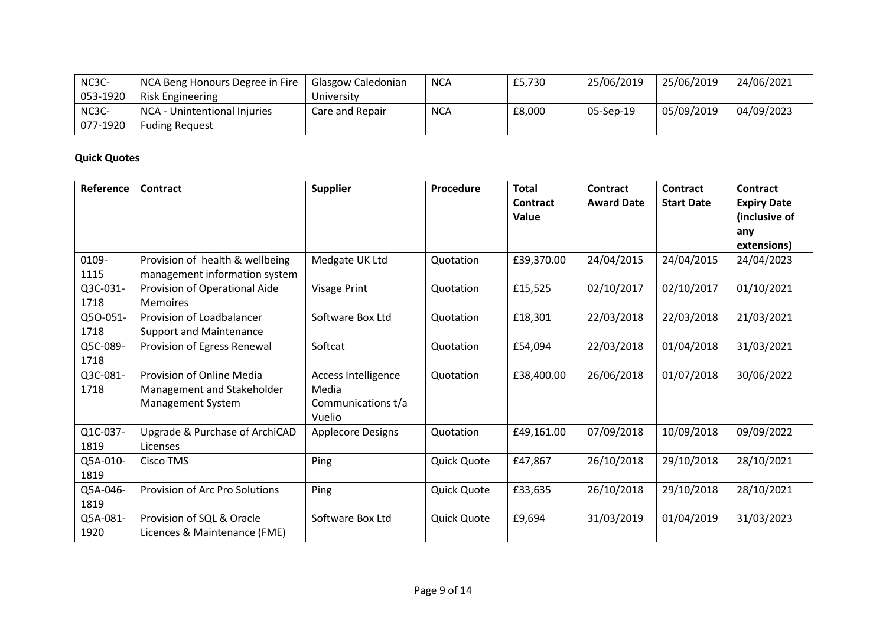| NC3C-    | NCA Beng Honours Degree in Fire | Glasgow Caledonian | <b>NCA</b> | £5,730 | 25/06/2019 | 25/06/2019 | 24/06/2021 |
|----------|---------------------------------|--------------------|------------|--------|------------|------------|------------|
| 053-1920 | <b>Risk Engineering</b>         | University         |            |        |            |            |            |
| NC3C-    | NCA - Unintentional Injuries    | Care and Repair    | <b>NCA</b> | £8,000 | 05-Sep-19  | 05/09/2019 | 04/09/2023 |
| 077-1920 | <b>Fuding Request</b>           |                    |            |        |            |            |            |

### **Quick Quotes**

| Reference        | Contract                                                                            | <b>Supplier</b>                                              | Procedure   | <b>Total</b><br><b>Contract</b><br>Value | Contract<br><b>Award Date</b> | <b>Contract</b><br><b>Start Date</b> | Contract<br><b>Expiry Date</b><br>(inclusive of<br>any<br>extensions) |
|------------------|-------------------------------------------------------------------------------------|--------------------------------------------------------------|-------------|------------------------------------------|-------------------------------|--------------------------------------|-----------------------------------------------------------------------|
| 0109-<br>1115    | Provision of health & wellbeing<br>management information system                    | Medgate UK Ltd                                               | Quotation   | £39,370.00                               | 24/04/2015                    | 24/04/2015                           | 24/04/2023                                                            |
| Q3C-031-<br>1718 | Provision of Operational Aide<br><b>Memoires</b>                                    | Visage Print                                                 | Quotation   | £15,525                                  | 02/10/2017                    | 02/10/2017                           | 01/10/2021                                                            |
| Q5O-051-<br>1718 | Provision of Loadbalancer<br><b>Support and Maintenance</b>                         | Software Box Ltd                                             | Quotation   | £18,301                                  | 22/03/2018                    | 22/03/2018                           | 21/03/2021                                                            |
| Q5C-089-<br>1718 | Provision of Egress Renewal                                                         | Softcat                                                      | Quotation   | £54,094                                  | 22/03/2018                    | 01/04/2018                           | 31/03/2021                                                            |
| Q3C-081-<br>1718 | Provision of Online Media<br>Management and Stakeholder<br><b>Management System</b> | Access Intelligence<br>Media<br>Communications t/a<br>Vuelio | Quotation   | £38,400.00                               | 26/06/2018                    | 01/07/2018                           | 30/06/2022                                                            |
| Q1C-037-<br>1819 | Upgrade & Purchase of ArchiCAD<br>Licenses                                          | <b>Applecore Designs</b>                                     | Quotation   | £49,161.00                               | 07/09/2018                    | 10/09/2018                           | 09/09/2022                                                            |
| Q5A-010-<br>1819 | Cisco TMS                                                                           | Ping                                                         | Quick Quote | £47,867                                  | 26/10/2018                    | 29/10/2018                           | 28/10/2021                                                            |
| Q5A-046-<br>1819 | Provision of Arc Pro Solutions                                                      | Ping                                                         | Quick Quote | £33,635                                  | 26/10/2018                    | 29/10/2018                           | 28/10/2021                                                            |
| Q5A-081-<br>1920 | Provision of SQL & Oracle<br>Licences & Maintenance (FME)                           | Software Box Ltd                                             | Quick Quote | £9,694                                   | 31/03/2019                    | 01/04/2019                           | 31/03/2023                                                            |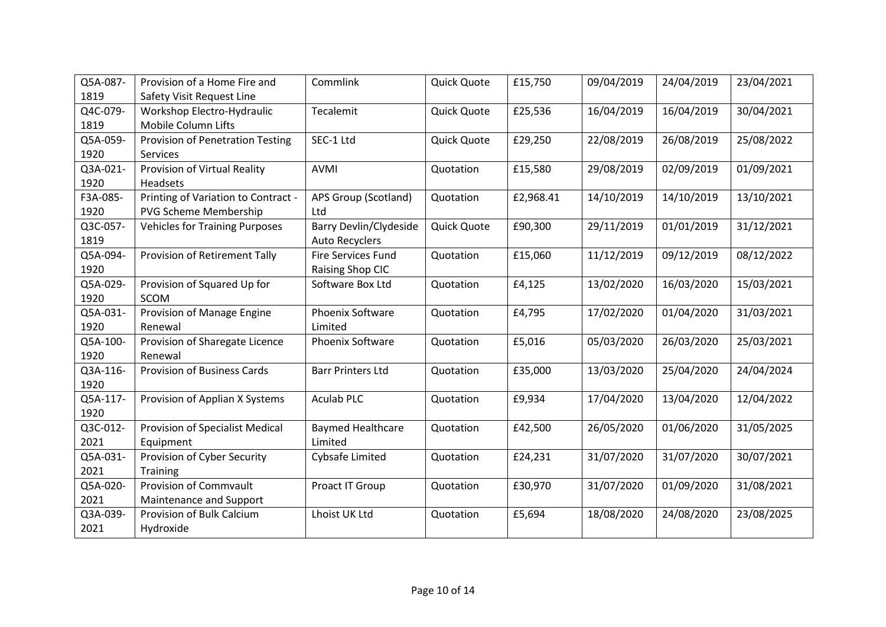| Q5A-087- | Provision of a Home Fire and          | Commlink                      | Quick Quote        | £15,750   | 09/04/2019 | 24/04/2019 | 23/04/2021 |
|----------|---------------------------------------|-------------------------------|--------------------|-----------|------------|------------|------------|
| 1819     | Safety Visit Request Line             |                               |                    |           |            |            |            |
| Q4C-079- | Workshop Electro-Hydraulic            | Tecalemit                     | Quick Quote        | £25,536   | 16/04/2019 | 16/04/2019 | 30/04/2021 |
| 1819     | Mobile Column Lifts                   |                               |                    |           |            |            |            |
| Q5A-059- | Provision of Penetration Testing      | SEC-1 Ltd                     | <b>Quick Quote</b> | £29,250   | 22/08/2019 | 26/08/2019 | 25/08/2022 |
| 1920     | Services                              |                               |                    |           |            |            |            |
| Q3A-021- | Provision of Virtual Reality          | AVMI                          | Quotation          | £15,580   | 29/08/2019 | 02/09/2019 | 01/09/2021 |
| 1920     | Headsets                              |                               |                    |           |            |            |            |
| F3A-085- | Printing of Variation to Contract -   | APS Group (Scotland)          | Quotation          | £2,968.41 | 14/10/2019 | 14/10/2019 | 13/10/2021 |
| 1920     | PVG Scheme Membership                 | Ltd                           |                    |           |            |            |            |
| Q3C-057- | <b>Vehicles for Training Purposes</b> | <b>Barry Devlin/Clydeside</b> | Quick Quote        | £90,300   | 29/11/2019 | 01/01/2019 | 31/12/2021 |
| 1819     |                                       | <b>Auto Recyclers</b>         |                    |           |            |            |            |
| Q5A-094- | Provision of Retirement Tally         | <b>Fire Services Fund</b>     | Quotation          | £15,060   | 11/12/2019 | 09/12/2019 | 08/12/2022 |
| 1920     |                                       | Raising Shop CIC              |                    |           |            |            |            |
| Q5A-029- | Provision of Squared Up for           | Software Box Ltd              | Quotation          | £4,125    | 13/02/2020 | 16/03/2020 | 15/03/2021 |
| 1920     | <b>SCOM</b>                           |                               |                    |           |            |            |            |
| Q5A-031- | Provision of Manage Engine            | Phoenix Software              | Quotation          | £4,795    | 17/02/2020 | 01/04/2020 | 31/03/2021 |
| 1920     | Renewal                               | Limited                       |                    |           |            |            |            |
| Q5A-100- | Provision of Sharegate Licence        | Phoenix Software              | Quotation          | £5,016    | 05/03/2020 | 26/03/2020 | 25/03/2021 |
| 1920     | Renewal                               |                               |                    |           |            |            |            |
| Q3A-116- | <b>Provision of Business Cards</b>    | <b>Barr Printers Ltd</b>      | Quotation          | £35,000   | 13/03/2020 | 25/04/2020 | 24/04/2024 |
| 1920     |                                       |                               |                    |           |            |            |            |
| Q5A-117- | Provision of Applian X Systems        | <b>Aculab PLC</b>             | Quotation          | £9,934    | 17/04/2020 | 13/04/2020 | 12/04/2022 |
| 1920     |                                       |                               |                    |           |            |            |            |
| Q3C-012- | Provision of Specialist Medical       | <b>Baymed Healthcare</b>      | Quotation          | £42,500   | 26/05/2020 | 01/06/2020 | 31/05/2025 |
| 2021     | Equipment                             | Limited                       |                    |           |            |            |            |
| Q5A-031- | Provision of Cyber Security           | Cybsafe Limited               | Quotation          | £24,231   | 31/07/2020 | 31/07/2020 | 30/07/2021 |
| 2021     | Training                              |                               |                    |           |            |            |            |
| Q5A-020- | Provision of Commvault                | Proact IT Group               | Quotation          | £30,970   | 31/07/2020 | 01/09/2020 | 31/08/2021 |
| 2021     | Maintenance and Support               |                               |                    |           |            |            |            |
| Q3A-039- | Provision of Bulk Calcium             | Lhoist UK Ltd                 | Quotation          | £5,694    | 18/08/2020 | 24/08/2020 | 23/08/2025 |
| 2021     | Hydroxide                             |                               |                    |           |            |            |            |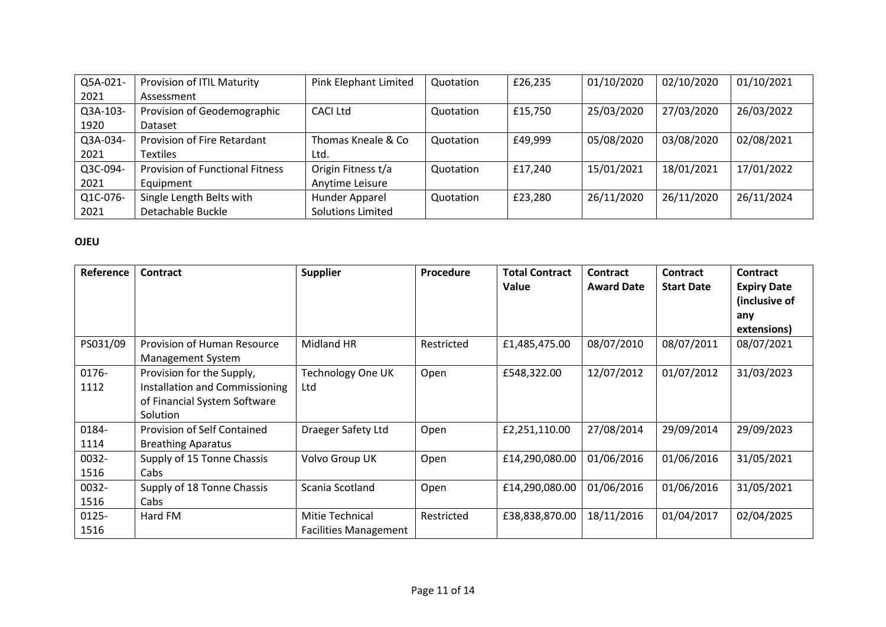| Q5A-021- | Provision of ITIL Maturity             | Pink Elephant Limited    | Quotation | £26,235 | 01/10/2020 | 02/10/2020 | 01/10/2021 |
|----------|----------------------------------------|--------------------------|-----------|---------|------------|------------|------------|
| 2021     | Assessment                             |                          |           |         |            |            |            |
| Q3A-103- | Provision of Geodemographic            | CACI Ltd                 | Quotation | £15,750 | 25/03/2020 | 27/03/2020 | 26/03/2022 |
| 1920     | Dataset                                |                          |           |         |            |            |            |
| Q3A-034- | Provision of Fire Retardant            | Thomas Kneale & Co       | Quotation | £49,999 | 05/08/2020 | 03/08/2020 | 02/08/2021 |
| 2021     | <b>Textiles</b>                        | Ltd.                     |           |         |            |            |            |
| Q3C-094- | <b>Provision of Functional Fitness</b> | Origin Fitness t/a       | Quotation | £17,240 | 15/01/2021 | 18/01/2021 | 17/01/2022 |
| 2021     | Equipment                              | Anytime Leisure          |           |         |            |            |            |
| Q1C-076- | Single Length Belts with               | Hunder Apparel           | Quotation | £23,280 | 26/11/2020 | 26/11/2020 | 26/11/2024 |
| 2021     | Detachable Buckle                      | <b>Solutions Limited</b> |           |         |            |            |            |

#### **OJEU**

| Reference     | <b>Contract</b>                                                                                         | <b>Supplier</b>                                        | Procedure  | <b>Total Contract</b><br>Value | <b>Contract</b><br><b>Award Date</b> | <b>Contract</b><br><b>Start Date</b> | <b>Contract</b><br><b>Expiry Date</b><br>(inclusive of<br>any<br>extensions) |
|---------------|---------------------------------------------------------------------------------------------------------|--------------------------------------------------------|------------|--------------------------------|--------------------------------------|--------------------------------------|------------------------------------------------------------------------------|
| PS031/09      | Provision of Human Resource<br><b>Management System</b>                                                 | Midland HR                                             | Restricted | £1,485,475.00                  | 08/07/2010                           | 08/07/2011                           | 08/07/2021                                                                   |
| 0176-<br>1112 | Provision for the Supply,<br>Installation and Commissioning<br>of Financial System Software<br>Solution | Technology One UK<br>Ltd                               | Open       | £548,322.00                    | 12/07/2012                           | 01/07/2012                           | 31/03/2023                                                                   |
| 0184-<br>1114 | Provision of Self Contained<br><b>Breathing Aparatus</b>                                                | <b>Draeger Safety Ltd</b>                              | Open       | £2,251,110.00                  | 27/08/2014                           | 29/09/2014                           | 29/09/2023                                                                   |
| 0032-<br>1516 | Supply of 15 Tonne Chassis<br>Cabs                                                                      | Volvo Group UK                                         | Open       | £14,290,080.00                 | 01/06/2016                           | 01/06/2016                           | 31/05/2021                                                                   |
| 0032-<br>1516 | Supply of 18 Tonne Chassis<br>Cabs                                                                      | Scania Scotland                                        | Open       | £14,290,080.00                 | 01/06/2016                           | 01/06/2016                           | 31/05/2021                                                                   |
| 0125-<br>1516 | Hard FM                                                                                                 | <b>Mitie Technical</b><br><b>Facilities Management</b> | Restricted | £38,838,870.00                 | 18/11/2016                           | 01/04/2017                           | 02/04/2025                                                                   |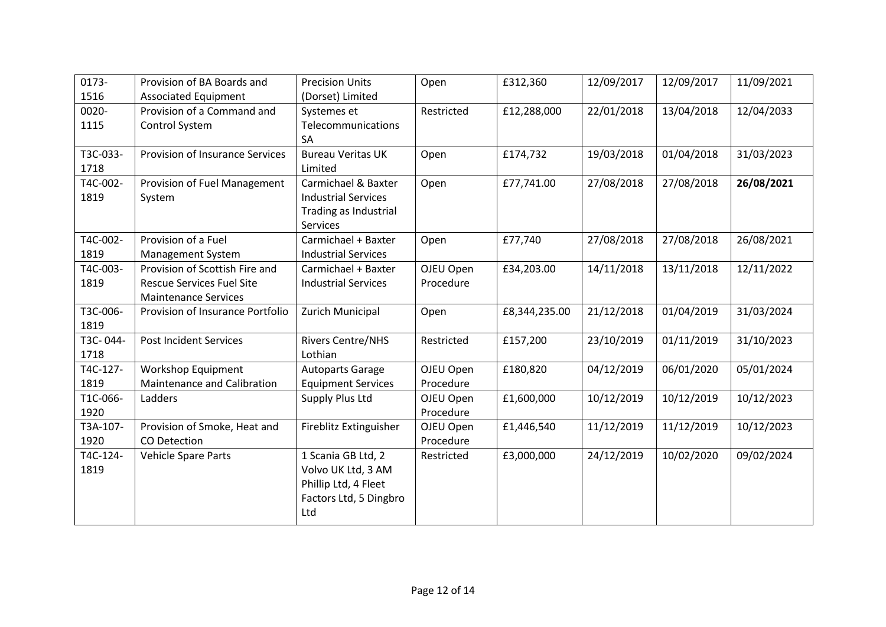| 0173-    | Provision of BA Boards and       | <b>Precision Units</b>     | Open       | £312,360      | 12/09/2017 | 12/09/2017 | 11/09/2021 |
|----------|----------------------------------|----------------------------|------------|---------------|------------|------------|------------|
| 1516     | <b>Associated Equipment</b>      | (Dorset) Limited           |            |               |            |            |            |
| 0020-    | Provision of a Command and       | Systemes et                | Restricted | £12,288,000   | 22/01/2018 | 13/04/2018 | 12/04/2033 |
| 1115     | Control System                   | Telecommunications         |            |               |            |            |            |
|          |                                  | SA                         |            |               |            |            |            |
| T3C-033- | Provision of Insurance Services  | <b>Bureau Veritas UK</b>   | Open       | £174,732      | 19/03/2018 | 01/04/2018 | 31/03/2023 |
| 1718     |                                  | Limited                    |            |               |            |            |            |
| T4C-002- | Provision of Fuel Management     | Carmichael & Baxter        | Open       | £77,741.00    | 27/08/2018 | 27/08/2018 | 26/08/2021 |
| 1819     | System                           | <b>Industrial Services</b> |            |               |            |            |            |
|          |                                  | Trading as Industrial      |            |               |            |            |            |
|          |                                  | <b>Services</b>            |            |               |            |            |            |
| T4C-002- | Provision of a Fuel              | Carmichael + Baxter        | Open       | £77,740       | 27/08/2018 | 27/08/2018 | 26/08/2021 |
| 1819     | Management System                | <b>Industrial Services</b> |            |               |            |            |            |
| T4C-003- | Provision of Scottish Fire and   | Carmichael + Baxter        | OJEU Open  | £34,203.00    | 14/11/2018 | 13/11/2018 | 12/11/2022 |
| 1819     | <b>Rescue Services Fuel Site</b> | <b>Industrial Services</b> | Procedure  |               |            |            |            |
|          | <b>Maintenance Services</b>      |                            |            |               |            |            |            |
| T3C-006- | Provision of Insurance Portfolio | Zurich Municipal           | Open       | £8,344,235.00 | 21/12/2018 | 01/04/2019 | 31/03/2024 |
|          |                                  |                            |            |               |            |            |            |
| T3C-044- | <b>Post Incident Services</b>    | <b>Rivers Centre/NHS</b>   | Restricted | £157,200      | 23/10/2019 | 01/11/2019 | 31/10/2023 |
| 1718     |                                  | Lothian                    |            |               |            |            |            |
| T4C-127- | Workshop Equipment               | <b>Autoparts Garage</b>    | OJEU Open  | £180,820      | 04/12/2019 | 06/01/2020 | 05/01/2024 |
| 1819     | Maintenance and Calibration      | <b>Equipment Services</b>  | Procedure  |               |            |            |            |
| T1C-066- | Ladders                          | Supply Plus Ltd            | OJEU Open  | £1,600,000    | 10/12/2019 | 10/12/2019 | 10/12/2023 |
| 1920     |                                  |                            | Procedure  |               |            |            |            |
| T3A-107- | Provision of Smoke, Heat and     | Fireblitz Extinguisher     | OJEU Open  | £1,446,540    | 11/12/2019 | 11/12/2019 | 10/12/2023 |
| 1920     | CO Detection                     |                            | Procedure  |               |            |            |            |
| T4C-124- | Vehicle Spare Parts              | 1 Scania GB Ltd, 2         | Restricted | £3,000,000    | 24/12/2019 | 10/02/2020 | 09/02/2024 |
| 1819     |                                  | Volvo UK Ltd, 3 AM         |            |               |            |            |            |
|          |                                  | Phillip Ltd, 4 Fleet       |            |               |            |            |            |
|          |                                  | Factors Ltd, 5 Dingbro     |            |               |            |            |            |
|          |                                  | Ltd                        |            |               |            |            |            |
| 1819     |                                  |                            |            |               |            |            |            |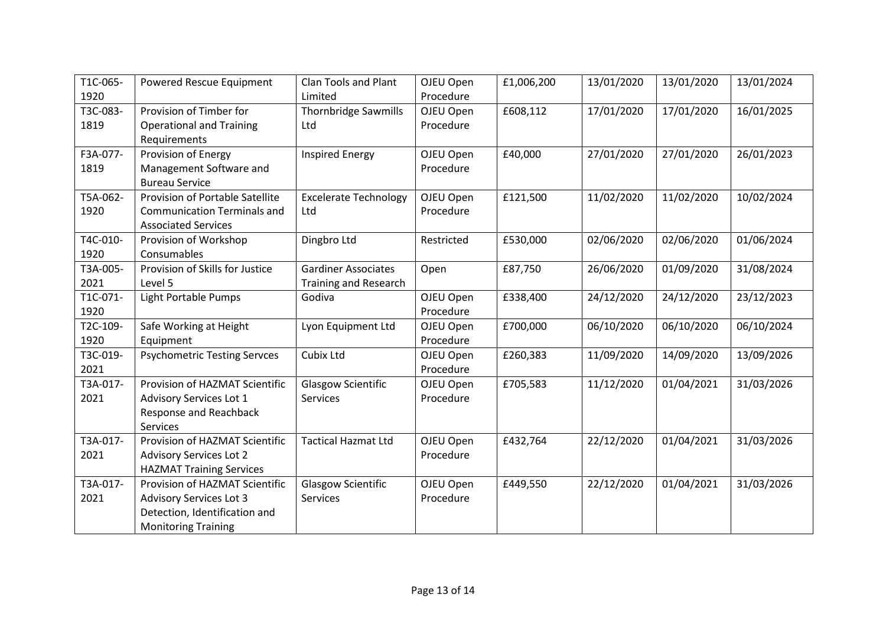| T1C-065- | Powered Rescue Equipment            | <b>Clan Tools and Plant</b>  | OJEU Open  | £1,006,200 | 13/01/2020 | 13/01/2020 | 13/01/2024 |
|----------|-------------------------------------|------------------------------|------------|------------|------------|------------|------------|
| 1920     |                                     | Limited                      | Procedure  |            |            |            |            |
| T3C-083- | Provision of Timber for             | <b>Thornbridge Sawmills</b>  | OJEU Open  | £608,112   | 17/01/2020 | 17/01/2020 | 16/01/2025 |
| 1819     | <b>Operational and Training</b>     | Ltd                          | Procedure  |            |            |            |            |
|          | Requirements                        |                              |            |            |            |            |            |
| F3A-077- | Provision of Energy                 | <b>Inspired Energy</b>       | OJEU Open  | £40,000    | 27/01/2020 | 27/01/2020 | 26/01/2023 |
| 1819     | Management Software and             |                              | Procedure  |            |            |            |            |
|          | <b>Bureau Service</b>               |                              |            |            |            |            |            |
| T5A-062- | Provision of Portable Satellite     | <b>Excelerate Technology</b> | OJEU Open  | £121,500   | 11/02/2020 | 11/02/2020 | 10/02/2024 |
| 1920     | <b>Communication Terminals and</b>  | Ltd                          | Procedure  |            |            |            |            |
|          | <b>Associated Services</b>          |                              |            |            |            |            |            |
| T4C-010- | Provision of Workshop               | Dingbro Ltd                  | Restricted | £530,000   | 02/06/2020 | 02/06/2020 | 01/06/2024 |
| 1920     | Consumables                         |                              |            |            |            |            |            |
| T3A-005- | Provision of Skills for Justice     | <b>Gardiner Associates</b>   | Open       | £87,750    | 26/06/2020 | 01/09/2020 | 31/08/2024 |
| 2021     | Level 5                             | <b>Training and Research</b> |            |            |            |            |            |
| T1C-071- | Light Portable Pumps                | Godiva                       | OJEU Open  | £338,400   | 24/12/2020 | 24/12/2020 | 23/12/2023 |
| 1920     |                                     |                              | Procedure  |            |            |            |            |
| T2C-109- | Safe Working at Height              | Lyon Equipment Ltd           | OJEU Open  | £700,000   | 06/10/2020 | 06/10/2020 | 06/10/2024 |
| 1920     | Equipment                           |                              | Procedure  |            |            |            |            |
| T3C-019- | <b>Psychometric Testing Servces</b> | Cubix Ltd                    | OJEU Open  | £260,383   | 11/09/2020 | 14/09/2020 | 13/09/2026 |
| 2021     |                                     |                              | Procedure  |            |            |            |            |
| T3A-017- | Provision of HAZMAT Scientific      | <b>Glasgow Scientific</b>    | OJEU Open  | £705,583   | 11/12/2020 | 01/04/2021 | 31/03/2026 |
| 2021     | <b>Advisory Services Lot 1</b>      | Services                     | Procedure  |            |            |            |            |
|          | Response and Reachback              |                              |            |            |            |            |            |
|          | Services                            |                              |            |            |            |            |            |
| T3A-017- | Provision of HAZMAT Scientific      | <b>Tactical Hazmat Ltd</b>   | OJEU Open  | £432,764   | 22/12/2020 | 01/04/2021 | 31/03/2026 |
| 2021     | <b>Advisory Services Lot 2</b>      |                              | Procedure  |            |            |            |            |
|          | <b>HAZMAT Training Services</b>     |                              |            |            |            |            |            |
| T3A-017- | Provision of HAZMAT Scientific      | <b>Glasgow Scientific</b>    | OJEU Open  | £449,550   | 22/12/2020 | 01/04/2021 | 31/03/2026 |
| 2021     | <b>Advisory Services Lot 3</b>      | Services                     | Procedure  |            |            |            |            |
|          | Detection, Identification and       |                              |            |            |            |            |            |
|          | <b>Monitoring Training</b>          |                              |            |            |            |            |            |